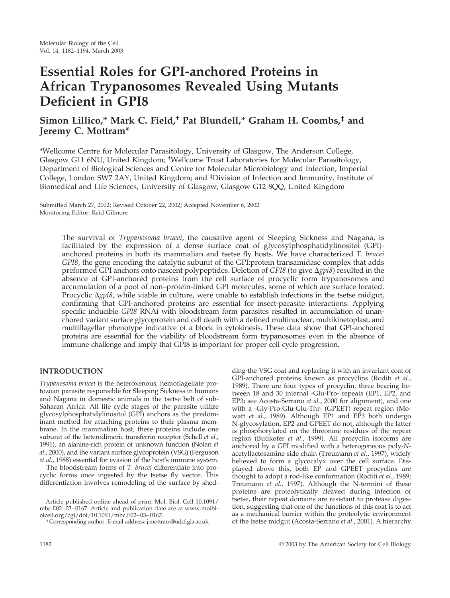# **Essential Roles for GPI-anchored Proteins in African Trypanosomes Revealed Using Mutants Deficient in GPI8**

# **Simon Lillico,\* Mark C. Field,† Pat Blundell,\* Graham H. Coombs,‡ and Jeremy C. Mottram\***

\*Wellcome Centre for Molecular Parasitology, University of Glasgow, The Anderson College, Glasgow G11 6NU, United Kingdom; † Wellcome Trust Laboratories for Molecular Parasitology, Department of Biological Sciences and Centre for Molecular Microbiology and Infection, Imperial College, London SW7 2AY, United Kingdom; and ‡ Division of Infection and Immunity, Institute of Biomedical and Life Sciences, University of Glasgow, Glasgow G12 8QQ, United Kingdom

Submitted March 27, 2002; Revised October 22, 2002; Accepted November 6, 2002 Monitoring Editor: Reid Gilmore

> The survival of *Trypanosoma brucei*, the causative agent of Sleeping Sickness and Nagana, is facilitated by the expression of a dense surface coat of glycosylphosphatidylinositol (GPI) anchored proteins in both its mammalian and tsetse fly hosts. We have characterized *T. brucei GPI8*, the gene encoding the catalytic subunit of the GPI:protein transamidase complex that adds preformed GPI anchors onto nascent polypeptides. Deletion of *GPI8* (to give  $\Delta gpi8$ ) resulted in the absence of GPI-anchored proteins from the cell surface of procyclic form trypanosomes and accumulation of a pool of non–protein-linked GPI molecules, some of which are surface located. Procyclic  $\Delta gpi8$ , while viable in culture, were unable to establish infections in the tsetse midgut, confirming that GPI-anchored proteins are essential for insect-parasite interactions. Applying specific inducible *GPI8* RNAi with bloodstream form parasites resulted in accumulation of unanchored variant surface glycoprotein and cell death with a defined multinuclear, multikinetoplast, and multiflagellar phenotype indicative of a block in cytokinesis. These data show that GPI-anchored proteins are essential for the viability of bloodstream form trypanosomes even in the absence of immune challenge and imply that GPI8 is important for proper cell cycle progression.

# **INTRODUCTION**

*Trypanosoma brucei* is the heteroxenous, hemoflagellate protozoan parasite responsible for Sleeping Sickness in humans and Nagana in domestic animals in the tsetse belt of sub-Saharan Africa. All life cycle stages of the parasite utilize glycosylphosphatidylinositol (GPI) anchors as the predominant method for attaching proteins to their plasma membrane. In the mammalian host, these proteins include one subunit of the heterodimeric transferrin receptor (Schell *et al.*, 1991), an alanine-rich protein of unknown function (Nolan *et al.*, 2000), and the variant surface glycoprotein (VSG) (Ferguson *et al.*, 1988) essential for evasion of the host's immune system.

The bloodstream forms of *T. brucei* differentiate into procyclic forms once ingested by the tsetse fly vector. This differentiation involves remodeling of the surface by shedding the VSG coat and replacing it with an invariant coat of GPI-anchored proteins known as procyclins (Roditi *et al.*, 1989). There are four types of procyclin, three bearing between 18 and 30 internal -Glu-Pro- repeats (EP1, EP2, and EP3; see Acosta-Serrano *et al.*, 2000 for alignment), and one with a -Gly-Pro-Glu-Glu-Thr- (GPEET) repeat region (Mowatt *et al.*, 1989). Although EP1 and EP3 both undergo N-glycosylation, EP2 and GPEET do not, although the latter is phosphorylated on the threonine residues of the repeat region (Butikofer *et al.*, 1999). All procyclin isoforms are anchored by a GPI modified with a heterogeneous poly-*N*acetyllactosamine side chain (Treumann *et al.*, 1997), widely believed to form a glycocalyx over the cell surface. Displayed above this, both EP and GPEET procyclins are thought to adopt a rod-like conformation (Roditi *et al.*, 1989; Treumann *et al.*, 1997). Although the N-termini of these proteins are proteolytically cleaved during infection of tsetse, their repeat domains are resistant to protease digestion, suggesting that one of the functions of this coat is to act as a mechanical barrier within the proteolytic environment of the tsetse midgut (Acosta-Serrano *et al.*, 2001). A hierarchy

Article published online ahead of print. Mol. Biol. Cell 10.1091/ mbc.E02–03–0167. Article and publication date are at www.molbiolcell.org/cgi/doi/10.1091/mbc.E02–03–0167.

<sup>§</sup> Corresponding author. E-mail address: j.mottram@udcf.gla.ac.uk.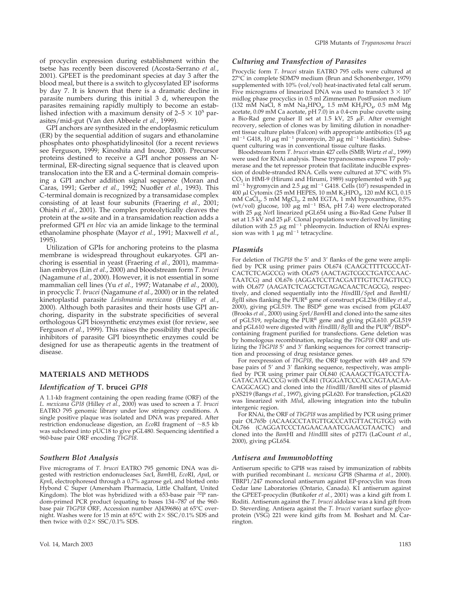of procyclin expression during establishment within the tsetse has recently been discovered (Acosta-Serrano *et al.*, 2001). GPEET is the predominant species at day 3 after the blood meal, but there is a switch to glycosylated EP isoforms by day 7. It is known that there is a dramatic decline in parasite numbers during this initial 3 d, whereupon the parasites remaining rapidly multiply to become an established infection with a maximum density of  $2-5 \times 10^5$  parasites/mid-gut (Van den Abbeele *et al.*, 1999).

GPI anchors are synthesized in the endoplasmic reticulum (ER) by the sequential addition of sugars and ethanolamine phosphates onto phosphatidylinositol (for a recent reviews see Ferguson, 1999; Kinoshita and Inoue, 2000). Precursor proteins destined to receive a GPI anchor possess an Nterminal, ER-directing signal sequence that is cleaved upon translocation into the ER and a C-terminal domain comprising a GPI anchor addition signal sequence (Moran and Caras, 1991; Gerber *et al.*, 1992; Nuoffer *et al.*, 1993). This C-terminal domain is recognized by a transamidase complex consisting of at least four subunits (Fraering *et al.*, 2001; Ohishi *et al.*, 2001). The complex proteolytically cleaves the protein at the  $\omega$ -site and in a transamidation reaction adds a preformed GPI *en bloc* via an amide linkage to the terminal ethanolamine phosphate (Mayor *et al.*, 1991; Maxwell *et al.*, 1995).

Utilization of GPIs for anchoring proteins to the plasma membrane is widespread throughout eukaryotes. GPI anchoring is essential in yeast (Fraering *et al.*, 2001), mammalian embryos (Lin *et al.*, 2000) and bloodstream form *T. brucei* (Nagamune *et al.*, 2000). However, it is not essential in some mammalian cell lines (Yu *et al.*, 1997; Watanabe *et al.*, 2000), in procyclic *T. brucei* (Nagamune *et al.*, 2000) or in the related kinetoplastid parasite *Leishmania mexicana* (Hilley *et al.*, 2000). Although both parasites and their hosts use GPI anchoring, disparity in the substrate specificities of several orthologous GPI biosynthetic enzymes exist (for review, see Ferguson *et al.*, 1999). This raises the possibility that specific inhibitors of parasite GPI biosynthetic enzymes could be designed for use as therapeutic agents in the treatment of disease.

#### **MATERIALS AND METHODS**

#### *Identification of* **T. brucei** *GPI8*

A 1.1-kb fragment containing the open reading frame (ORF) of the *L. mexicana GPI8* (Hilley *et al.*, 2000) was used to screen a *T. brucei* EATRO 795 genomic library under low stringency conditions. A single positive plaque was isolated and DNA was prepared. After restriction endonuclease digestion, an *EcoRI* fragment of  $\sim$ 8.5 kb was subcloned into pUC18 to give pGL480. Sequencing identified a 960-base pair ORF encoding *TbGPI8*.

#### *Southern Blot Analysis*

Five micrograms of *T. brucei* EATRO 795 genomic DNA was digested with restriction endonucleases *Sac*I, *Bam*HI, *Eco*RI, *Apa*I, or *Kpn*I, electrophoresed through a 0.7% agarose gel, and blotted onto Hybond C Super (Amersham Pharmacia, Little Chalfant, United Kingdom). The blot was hybridized with a 653-base pair 32P random-primed PCR product (equating to bases 134–787 of the 960 base pair *TbGPI8* ORF, Accession number AJ439686) at 65°C overnight. Washes were for 15 min at 65°C with 2 $\times$  SSC/0.1% SDS and then twice with  $0.2 \times$  SSC/0.1% SDS.

#### *Culturing and Transfection of Parasites*

Procyclic form *T. brucei* strain EATRO 795 cells were cultured at 27°C in complete SDM79 medium (Brun and Schonenberger, 1979) supplemented with 10% (vol/vol) heat-inactivated fetal calf serum. Five micrograms of linearized DNA was used to transfect  $3 \times 10^7$ midlog phase procyclics in 0.5 ml Zimmerman PostFusion medium (132 mM NaCl, 8 mM Na<sub>2</sub>HPO<sub>4</sub>, 1.5 mM KH<sub>2</sub>PO<sub>4</sub>, 0.5 mM Mg acetate, 0.09 mM Ca acetate, pH 7.0) in a 0.4-cm pulse cuvette using a Bio-Rad gene pulser II set at 1.5 kV, 25  $\mu$ F. After overnight recovery, selection of clones was by limiting dilution in nonadherent tissue culture plates (Falcon) with appropriate antibiotics (15  $\mu$ g ml<sup>-1</sup> G418, 10  $\mu$ g ml<sup>-1</sup> puromycin, 20  $\mu$ g ml<sup>-1</sup> blasticidin). Subsequent culturing was in conventional tissue culture flasks.

Bloodstream form *T. brucei* strain 427 cells (SMB; Wirtz *et al.*, 1999) were used for RNAi analysis. These trypanosomes express T7 polymerase and the tet repressor protein that facilitate inducible expression of double-stranded RNA. Cells were cultured at 37°C with 5%  $CO<sub>2</sub>$  in HMI-9 (Hirumi and Hirumi, 1989) supplemented with 5  $\mu$ g  $ml^{-1}$  hygromycin and 2.5  $\mu$ g ml<sup>-1</sup> G418. Cells (10<sup>7</sup>) resuspended in 400 μl Cytomix (25 mM HEPES, 10 mM K<sub>2</sub>HPO<sub>4</sub>, 120 mM KCl, 0.15 mM CaCl<sub>2</sub>, 5 mM MgCl<sub>2</sub>, 2 mM EGTA, 1 mM hypoxanthine,  $0.5\%$ (wt/vol) glucose,  $100 \mu g$  ml<sup>-1</sup> BSA, pH 7.4) were electroporated with 25 µg *Not*I linearized pGL654 using a Bio-Rad Gene Pulser II set at 1.5 kV and 25  $\mu$ F. Clonal populations were derived by limiting dilution with 2.5  $\mu$ g ml<sup>-1</sup> phleomycin. Induction of RNAi expression was with 1  $\mu$ g ml<sup>-1</sup> tetracycline.

#### *Plasmids*

For deletion of *TbGPI8* the 5' and 3' flanks of the gene were amplified by PCR using primer pairs OL674 (CAAGCTTTTCGCCAT-CACTCTCAGCCG) with OL675 (AACTAGTCGCCTGATCCAAC-TAATCG) and OL676 (AGGATCCTTACGATTTGTTCTAGTTCC) with OL677 (AAGATCTCAGCTGTAGACAACTCAGCG), respectively, and cloned sequentially into the *Hin*dIII/*Spe*I and *Bam*HI/ *Bgl*II sites flanking the PURR gene of construct pGL236 (Hilley *et al.*,  $2000$ ), giving pGL519. The BSDR gene was excised from pGL437 (Brooks *et al.*, 2000) using *Spe*I/*Bam*HI and cloned into the same sites of pGL519, replacing the PUR<sup>R</sup> gene and giving pGL610. pGL519 and pGL610 were digested with *HindIII/BglII* and the PUR<sup>R</sup>/BSD<sup>R</sup>containing fragment purified for transfections. Gene deletion was by homologous recombination, replacing the *TbGPI8* ORF and utilizing the *TbGPI8* 5' and 3' flanking sequences for correct transcription and processing of drug resistance genes.

For reexpression of *TbGPI8*, the ORF together with 449 and 579 base pairs of 5' and 3' flanking sequence, respectively, was amplified by PCR using primer pair OL840 (CAAAGCTTGATCCTTA-GATACATACCCG) with OL841 (TGGGATCCCACCAGTAACAA-CAGGCAGC) and cloned into the *Hin*dIII/*Bam*HI sites of plasmid pXS219 (Bangs *et al.*, 1997), giving pGL620. For transfection, pGL620 was linearized with *Mlu*I, allowing integration into the tubulin intergenic region.

For RNAi, the ORF of *TbGPI8* was amplified by PCR using primer pair OL765b (ACAAGCCTATGTTGCCCATGTTACTGTGG) with OL766 (CAGGATCCCTAGAACAAATCGAACGTAACTC) and cloned into the *Bam*HI and *Hin*dIII sites of p2T7i (LaCount *et al.*, 2000), giving pGL654.

#### *Antisera and Immunoblotting*

Antiserum specific to GPI8 was raised by immunization of rabbits with purified recombinant *L. mexicana* GPI8 (Sharma *et al.*, 2000). TBRP1/247 monoclonal antiserum against EP-procyclin was from Cedar lane Laboratories (Ontario, Canada). K1 antiserum against the GPEET-procyclin (Butikofer *et al.*, 2001) was a kind gift from I. Roditi. Antiserum against the *T. brucei* aldolase was a kind gift from D. Steverding. Antisera against the *T. brucei* variant surface glycoprotein (VSG) 221 were kind gifts from M. Boshart and M. Carrington.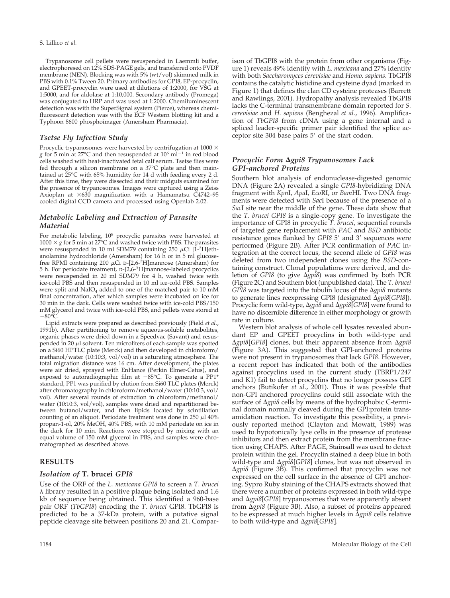Trypanosome cell pellets were resuspended in Laemmli buffer, electrophoresed on 12% SDS-PAGE gels, and transferred onto PVDF membrane (NEN). Blocking was with 5% (wt/vol) skimmed milk in PBS with 0.1% Tween 20. Primary antibodies for GPI8, EP-procyclin, and GPEET-procyclin were used at dilutions of 1:2000, for VSG at 1:5000, and for aldolase at 1:10,000. Secondary antibody (Promega) was conjugated to HRP and was used at 1:2000. Chemiluminescent detection was with the SuperSignal system (Pierce), whereas chemifluorescent detection was with the ECF Western blotting kit and a Typhoon 8600 phosphoimager (Amersham Pharmacia).

#### *Tsetse Fly Infection Study*

Procyclic trypanosomes were harvested by centrifugation at  $1000 \times$ *g* for 5 min at 27°C and then resuspended at 10<sup>6</sup> ml<sup>-1</sup> in red blood cells washed with heat-inactivated fetal calf serum. Tsetse flies were fed through a silicon membrane on a 37°C plate and then maintained at 25°C with 65% humidity for 14 d with feeding every 2 d. After this time, they were dissected and their midguts examined for the presence of trypanosomes. Images were captured using a Zeiss Axioplan at ×630 magnification with a Hamamatsu C4742-95 cooled digital CCD camera and processed using Openlab 2.02.

#### *Metabolic Labeling and Extraction of Parasite Material*

For metabolic labeling,  $10^8$  procyclic parasites were harvested at  $1000 \times g$  for 5 min at 27 $^{\circ}$ C and washed twice with PBS. The parasites were resuspended in 10 ml SDM79 containing 250  $\mu$ Ci [1-3H]ethanolamine hydrochloride (Amersham) for 16 h or in 5 ml glucosefree RPMI containing 200  $\mu$ Ci D-[2,6-<sup>3</sup>H]mannose (Amersham) for 5 h. For periodate treatment, p-[2,6-<sup>3</sup>H]mannose-labeled procyclics were resuspended in 20 ml SDM79 for 4 h, washed twice with ice-cold PBS and then resuspended in 10 ml ice-cold PBS. Samples were split and  $\text{NaIO}_4$  added to one of the matched pair to 10 mM final concentration, after which samples were incubated on ice for 30 min in the dark. Cells were washed twice with ice-cold PBS/150 mM glycerol and twice with ice-cold PBS, and pellets were stored at  $-80^{\circ}$ C.

Lipid extracts were prepared as described previously (Field *et al.*, 1991b). After partitioning to remove aqueous-soluble metabolites, organic phases were dried down in a Speedvac (Savant) and resuspended in 20  $\mu$ l solvent. Ten microliters of each sample was spotted on a Si60 HPTLC plate (Merck) and then developed in chloroform/ methanol/water (10:10:3, vol/vol) in a saturating atmosphere. The total migration distance was 16 cm. After development, the plates were air dried, sprayed with EnHance (Perkin Elmer-Cetus), and exposed to autoradiographic film at  $-85^{\circ}$ C. To generate a PP1\* standard, PP1 was purified by elution from Si60 TLC plates (Merck) after chromatography in chloroform/methanol/water (10:10:3, vol/ vol). After several rounds of extraction in chloroform/methanol/ water (10:10:3, vol/vol), samples were dried and repartitioned between butanol/water, and then lipids located by scintillation counting of an aliquot. Periodate treatment was done in 250  $\mu$ l 40% propan-1-ol, 20% MeOH, 40% PBS, with 10 mM periodate on ice in the dark for 10 min. Reactions were stopped by mixing with an equal volume of 150 mM glycerol in PBS, and samples were chromatographed as described above.

#### **RESULTS**

#### *Isolation of* **T. brucei** *GPI8*

Use of the ORF of the *L. mexicana GPI8* to screen a *T. brucei*  $\lambda$  library resulted in a positive plaque being isolated and 1.6 kb of sequence being obtained. This identified a 960-base pair ORF (*TbGPI8*) encoding the *T. brucei* GPI8. TbGPI8 is predicted to be a 37-kDa protein, with a putative signal peptide cleavage site between positions 20 and 21. Compar-

ison of TbGPI8 with the protein from other organisms (Figure 1) reveals 49% identity with *L. mexicana* and 27% identity with both *Saccharomyces cerevisiae* and *Homo. sapiens*. TbGPI8 contains the catalytic histidine and cysteine dyad (marked in Figure 1) that defines the clan CD cysteine proteases (Barrett and Rawlings, 2001). Hydropathy analysis revealed TbGPI8 lacks the C-terminal transmembrane domain reported for *S. cerevisiae* and *H. sapiens* (Benghezal *et al.*, 1996). Amplification of *TbGPI8* from cDNA using a gene internal and a spliced leader-specific primer pair identified the splice acceptor site 304 base pairs 5' of the start codon.

### Procyclic Form  $\Delta$ gpi8 Trypanosomes Lack *GPI-anchored Proteins*

Southern blot analysis of endonuclease-digested genomic DNA (Figure 2A) revealed a single *GPI8*-hybridizing DNA fragment with *Kpn*I, *Apa*I, *Eco*RI, or *Bam*HI. Two DNA fragments were detected with *Sac*I because of the presence of a *Sac*I site near the middle of the gene. These data show that the *T. brucei GPI8* is a single-copy gene. To investigate the importance of GPI8 in procyclic *T. brucei*, sequential rounds of targeted gene replacement with *PAC* and *BSD* antibiotic resistance genes flanked by *GPI8* 5' and 3' sequences were performed (Figure 2B). After PCR confirmation of *PAC* integration at the correct locus, the second allele of *GPI8* was deleted from two independent clones using the *BSD*-containing construct. Clonal populations were derived, and deletion of *GPI8* (to give  $\Delta gpi8$ ) was confirmed by both PCR (Figure 2C) and Southern blot (unpublished data). The *T. brucei*  $GPI8$  was targeted into the tubulin locus of the  $\Delta gpi8$  mutants to generate lines reexpressing GPI8 (designated  $\overline{\Delta}$ *gpi8*[*GPI8*]). Procyclic form wild-type, Δgpi8 and Δgpi8[*GPI8*] were found to have no discernible difference in either morphology or growth rate in culture.

Western blot analysis of whole cell lysates revealed abundant EP and GPEET procyclins in both wild-type and Δgpi8[GPI8] clones, but their apparent absence from Δgpi8 (Figure 3A). This suggested that GPI-anchored proteins were not present in trypanosomes that lack *GPI8*. However, a recent report has indicated that both of the antibodies against procyclins used in the current study (TBRP1/247 and K1) fail to detect procyclins that no longer possess GPI anchors (Butikofer *et al.*, 2001). Thus it was possible that non-GPI anchored procyclins could still associate with the surface of  $\Delta gpi8$  cells by means of the hydrophobic C-terminal domain normally cleaved during the GPI:protein transamidation reaction. To investigate this possibility, a previously reported method (Clayton and Mowatt, 1989) was used to hypotonically lyse cells in the presence of protease inhibitors and then extract protein from the membrane fraction using CHAPS. After PAGE, Stainsall was used to detect protein within the gel. Procyclin stained a deep blue in both wild-type and  $\Delta gpi8$ [GPI8] clones, but was not observed in Δ*gpi8* (Figure 3B). This confirmed that procyclin was not expressed on the cell surface in the absence of GPI anchoring. Sypro Ruby staining of the CHAPS extracts showed that there were a number of proteins expressed in both wild-type and  $\Delta$ *gpi8*[*GPI8*] trypanosomes that were apparently absent from  $\Delta gpi8$  (Figure 3B). Also, a subset of proteins appeared to be expressed at much higher levels in  $\Delta gpi8$  cells relative to both wild-type and Δgpi8[*GPI8*].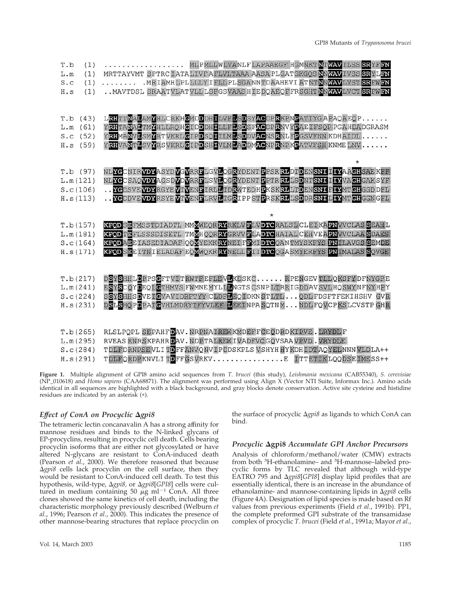| T.b<br>(1)<br>L.m<br>(1)<br>S.c<br>(1)<br>H.s<br>(1) | MLPMLLWLVANLFLAPAAEGF                           HGMNKT <b>NTWAV</b> ILSS                             SRYFFN<br>MRTTAYVMT SPTRC IATALIVF AFLVLTAAA AASA PLGATGKGOS NNWAVIVSS SRYLEN<br>. MRIAMHLPLLLLY I FLL PLSGANNTDAAHEVI ATNTNNWAVLVST SRFWFN<br>.<br>. . MAVTDSL SRAATVLATVLL LSFGSVAAS HIEDQAEQFFRSGHT NNWAVLVCT SRFWFN |
|------------------------------------------------------|------------------------------------------------------------------------------------------------------------------------------------------------------------------------------------------------------------------------------------------------------------------------------------------------------------------------------|
| $T.b$ (43)<br>(61)<br>L.m<br>$S.c$ (52)<br>H.s (59)  | LRHTTNALAMYHLCRKHCMDDDHLLVFLSDSYACDPRKPNPATIYGAPAQAEQP<br>Y <mark>RH</mark> TANALTMYHLLRQ HCTDDDHILLFLSDSFACDPRNVYPAEIFSQP PGAHDADGRASM<br>YRHMANVLSMYRTVKRLCIPDSOLILMLSDDVACNSRNLFPGSVFNN KDHAIDL<br>YRHVANTLSVYRSVKRLCIPDSHIVLMLADDMACNPRNPKPATVFSH KNME LNV                                                               |
| $T.b$ (97)                                           | NL <mark>YG</mark> CNIR <mark>VDY ASYDVGVRRFLGVLQGR</mark> YDENT PPSR <mark>RLDTD</mark> ENSNI I IYAAGHSAE KFF                                                                                                                                                                                                               |
| L.m(121)                                             | NLYCCSAQVDYAGSDVDVRRFLSVLQGRYDENT PPTRRLLSDNTSNI I IYVAGHGAKSYF                                                                                                                                                                                                                                                              |
| S.c(106)                                             | . . YGDSVE VDY RGYE VTVENFIRLLTDRWTEDHPKSKRLLTDENSNIFIYMTGHGGDDFL                                                                                                                                                                                                                                                            |
| H.S(113)                                             | . . YGDDVE VDY RSYE VT VENFLRVLTGRIPP STPRSKRLLSDDRSNILIYMTGHGGNGFL                                                                                                                                                                                                                                                          |
| T.b(157)                                             | KFOD SEFMSSTDIADTL MMMWEOR RYRKLVFLVDTCRALSL CLEIKAPNVVCLAS SEAHL                                                                                                                                                                                                                                                            |
| L.m(181)                                             | KFOD TEFLSSSDISETL TMMHOORRYGRVV FLADTCHAIAL CEHVEAPNVVCLAA SDAES                                                                                                                                                                                                                                                            |
| S.c(164)                                             | KFODAEEIASEDIADAF QQMYEKKRYNEI FEMIDTCQANTMYSKFYS PNILAVGS SEMDE                                                                                                                                                                                                                                                             |
| H.S(171)                                             | KFOD SEE ITN I ELADAF EQMWOKR RYNELL FIIDTCOGA SMYERFYS PNIMALAS SOVGE                                                                                                                                                                                                                                                       |
| T.b(217)                                             | DSYSHHLDPPSGFTVITRWTFEFLEVLKDSKC RPENGEVTLLQKSFYDFNYGPE                                                                                                                                                                                                                                                                      |
| L.m(241)                                             | ESYSCOYDEOLGTHMVSFWMNEMYLLDNGTSCSNPLTRRIGDDAVSVLHOSWYNFNYHPY                                                                                                                                                                                                                                                                 |
| S.c(224)                                             | SSYSHHSDVEICVAVIDRFTYY CLDFLEOIDKN STLTL ODLFDSFTFEKIHSHV GVR                                                                                                                                                                                                                                                                |
| H.S(231)                                             | DSLSHOPDPAIGVHLMDRYTFYVLEF DEEINPASOTNMNDLFOVCPKSLCVSTPGHR                                                                                                                                                                                                                                                                   |
| T.b(265)                                             | RLSLPQPL SEPAHFDAV. NRPNAIREWKMDEFFCEQDRDKIPVE.LRYDLF                                                                                                                                                                                                                                                                        |
| L.m(295)                                             | RVEAS RNRSKPAHRDAV. NDPTALREW IVADFVCGQVSAAVPVD. VRYDLE                                                                                                                                                                                                                                                                      |
| S.c(284)                                             | TDLFDRNPSEVLITDFFANVQNVIPDDSKPLSVSHYHHYKDHIDTAQYELNNNVLDLA++                                                                                                                                                                                                                                                                 |
| H.S(291)                                             | TDLFORDPKNVLITDFFGSVRKVE ITTETIKLOODSEIMESS++                                                                                                                                                                                                                                                                                |

**Figure 1.** Multiple alignment of GPI8 amino acid sequences from *T. brucei* (this study), *Leishmania mexicana* (CAB55340), *S. cerevisiae* (NP\_010618) and *Homo sapiens* (CAA68871). The alignment was performed using Align X (Vector NTI Suite, Informax Inc.). Amino acids identical in all sequences are highlighted with a black background, and gray blocks denote conservation. Active site cysteine and histidine residues are indicated by an asterisk  $(*)$ .

#### *Effect of ConA on Procyclic*  $\Delta$ *gpi8*

The tetrameric lectin concanavalin A has a strong affinity for mannose residues and binds to the N-linked glycans of EP-procyclins, resulting in procyclic cell death. Cells bearing procyclin isoforms that are either not glycosylated or have altered N-glycans are resistant to ConA-induced death (Pearson *et al.*, 2000). We therefore reasoned that because Δgpi8 cells lack procyclin on the cell surface, then they would be resistant to ConA-induced cell death. To test this hypothesis, wild-type, Δgpi8, or Δgpi8[GPI8] cells were cultured in medium containing 50  $\mu$ g ml<sup>-1</sup> ConA. All three clones showed the same kinetics of cell death, including the characteristic morphology previously described (Welburn *et al.*, 1996; Pearson *et al.*, 2000). This indicates the presence of other mannose-bearing structures that replace procyclin on

the surface of procyclic Δ*gpi8* as ligands to which ConA can bind.

#### *Procyclic* **gpi8** *Accumulate GPI Anchor Precursors*

Analysis of chloroform/methanol/water (CMW) extracts from both <sup>3</sup>H-ethanolamine- and <sup>3</sup>H-mannose-labeled procyclic forms by TLC revealed that although wild-type EATRO 795 and  $\Delta gpi8$ [GPI8] display lipid profiles that are essentially identical, there is an increase in the abundance of ethanolamine- and mannose-containing lipids in  $\Delta gpi8$  cells (Figure 4A). Designation of lipid species is made based on Rf values from previous experiments (Field *et al.*, 1991b). PP1, the complete preformed GPI substrate of the transamidase complex of procyclic *T. brucei* (Field *et al.*, 1991a; Mayor *et al.*,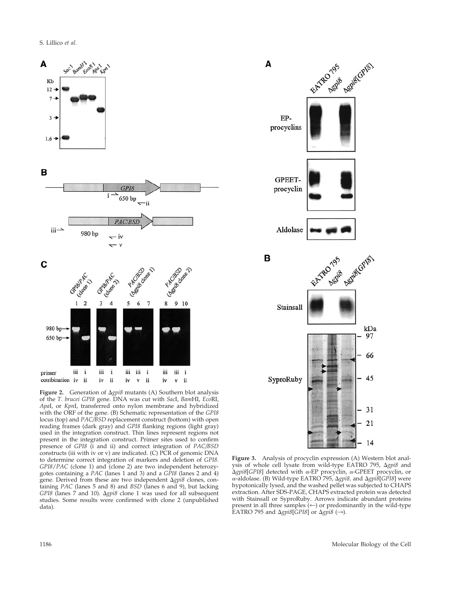

Figure 2. Generation of  $\Delta gpi8$  mutants (A) Southern blot analysis of the *T. brucei GPI8* gene. DNA was cut with *Sac*I, *Bam*HI, *Eco*RI, *Apa*I, or *Kpn*I, transferred onto nylon membrane and hybridized with the ORF of the gene. (B) Schematic representation of the *GPI8* locus (top) and *PAC/BSD* replacement construct (bottom) with open reading frames (dark gray) and *GPI8* flanking regions (light gray) used in the integration construct. Thin lines represent regions not present in the integration construct. Primer sites used to confirm presence of *GPI8* (i and ii) and correct integration of *PAC/BSD* constructs (iii with iv or v) are indicated. (C) PCR of genomic DNA to determine correct integration of markers and deletion of *GPI8. GPI8*/*PAC* (clone 1) and (clone 2) are two independent heterozygotes containing a *PAC* (lanes 1 and 3) and a *GPI8* (lanes 2 and 4) gene. Derived from these are two independent  $\Delta gpi8$  clones, containing *PAC* (lanes 5 and 8) and *BSD* (lanes 6 and 9), but lacking *GPI8* (lanes 7 and 10).  $\Delta gpi8$  clone 1 was used for all subsequent studies. Some results were confirmed with clone 2 (unpublished data).



**Figure 3.** Analysis of procyclin expression (A) Western blot analysis of whole cell lysate from wild-type EATRO 795, Δgpi8 and  $\Delta$ gpi8<sup>[</sup>GPI8] detected with  $\alpha$ -EP procyclin,  $\alpha$ -GPEET procyclin, or -aldolase. (B) Wild-type EATRO 795, *gpi8,* and *gpi8*[*GPI8*] were hypotonically lysed, and the washed pellet was subjected to CHAPS extraction. After SDS-PAGE, CHAPS extracted protein was detected with Stainsall or SyproRuby. Arrows indicate abundant proteins present in all three samples  $(\leftarrow)$  or predominantly in the wild-type EATRO 795 and  $\Delta$ *gpi8*[*GPI8*] or  $\Delta$ *gpi8* ( $\rightarrow$ ).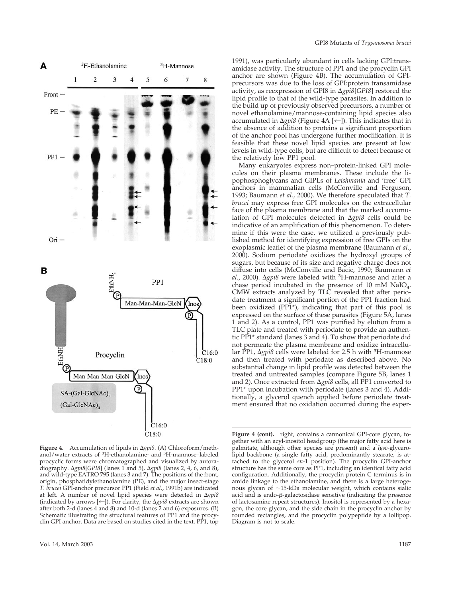

Figure 4. Accumulation of lipids in  $\Delta gpi8$ . (A) Chloroform/methanol/water extracts of <sup>3</sup> H-ethanolamine- and <sup>3</sup> H-mannose–labeled procyclic forms were chromatographed and visualized by autoradiography.  $\Delta$ gpi8[*GPI8*] (lanes 1 and 5),  $\Delta$ gpi8 (lanes 2, 4, 6, and 8), and wild-type EATRO 795 (lanes 3 and 7). The positions of the front, origin, phosphatidylethanolamine (PE), and the major insect-stage *T. brucei* GPI-anchor precursor PP1 (Field *et al.*, 1991b) are indicated at left. A number of novel lipid species were detected in  $\Delta gpi8$ (indicated by arrows  $\leftarrow$ )). For clarity, the  $\Delta gpi8$  extracts are shown after both 2-d (lanes 4 and 8) and 10-d (lanes 2 and 6) exposures. (B) Schematic illustrating the structural features of PP1 and the procyclin GPI anchor. Data are based on studies cited in the text. PP1, top

1991), was particularly abundant in cells lacking GPI:transamidase activity. The structure of PP1 and the procyclin GPI anchor are shown (Figure 4B). The accumulation of GPIprecursors was due to the loss of GPI:protein transamidase activity, as reexpression of GPI8 in *gpi8*[*GPI8*] restored the lipid profile to that of the wild-type parasites. In addition to the build up of previously observed precursors, a number of novel ethanolamine/mannose-containing lipid species also accumulated in  $\Delta gpi8$  (Figure 4A  $\leftarrow$ ). This indicates that in the absence of addition to proteins a significant proportion of the anchor pool has undergone further modification. It is feasible that these novel lipid species are present at low levels in wild-type cells, but are difficult to detect because of the relatively low PP1 pool.

Many eukaryotes express non–protein-linked GPI molecules on their plasma membranes. These include the lipophosphoglycans and GIPLs of *Leishmania* and 'free' GPI anchors in mammalian cells (McConville and Ferguson, 1993; Baumann *et al.*, 2000). We therefore speculated that *T. brucei* may express free GPI molecules on the extracellular face of the plasma membrane and that the marked accumulation of GPI molecules detected in  $\Delta gpi$ 8 cells could be indicative of an amplification of this phenomenon. To determine if this were the case, we utilized a previously published method for identifying expression of free GPIs on the exoplasmic leaflet of the plasma membrane (Baumann *et al.*, 2000). Sodium periodate oxidizes the hydroxyl groups of sugars, but because of its size and negative charge does not diffuse into cells (McConville and Bacic, 1990; Baumann *et* al., 2000).  $\Delta gpi8$  were labeled with <sup>3</sup>H-mannose and after a chase period incubated in the presence of 10 mM  $NaIO<sub>4</sub>$ . CMW extracts analyzed by TLC revealed that after periodate treatment a significant portion of the PP1 fraction had been oxidized (PP1\*), indicating that part of this pool is expressed on the surface of these parasites (Figure 5A, lanes 1 and 2). As a control, PP1 was purified by elution from a TLC plate and treated with periodate to provide an authentic PP1\* standard (lanes 3 and 4). To show that periodate did not permeate the plasma membrane and oxidize intracellular PP1, Agpi8 cells were labeled for 2.5 h with <sup>3</sup>H-mannose and then treated with periodate as described above. No substantial change in lipid profile was detected between the treated and untreated samples (compare Figure 5B, lanes 1 and 2). Once extracted from  $\Delta gpi8$  cells, all PP1 converted to PP1\* upon incubation with periodate (lanes 3 and 4). Additionally, a glycerol quench applied before periodate treatment ensured that no oxidation occurred during the exper-

Figure 4 (cont). right, contains a cannonical GPI-core glycan, together with an acyl-inositol headgroup (the major fatty acid here is palmitate, although other species are present) and a *lyso*-glycerolipid backbone (a single fatty acid, predominantly stearate, is attached to the glycerol *sn*-1 position). The procyclin GPI-anchor structure has the same core as PP1, including an identical fatty acid configuration. Additionally, the procyclin protein C terminus is in amide linkage to the ethanolamine, and there is a large heterogenous glycan of  $\sim$ 15-kDa molecular weight, which contains sialic acid and is endo- $\beta$ -galactosidase sensitive (indicating the presence of lactosamine repeat structures). Inositol is represented by a hexagon, the core glycan, and the side chain in the procyclin anchor by rounded rectangles, and the procyclin polypeptide by a lollipop. Diagram is not to scale.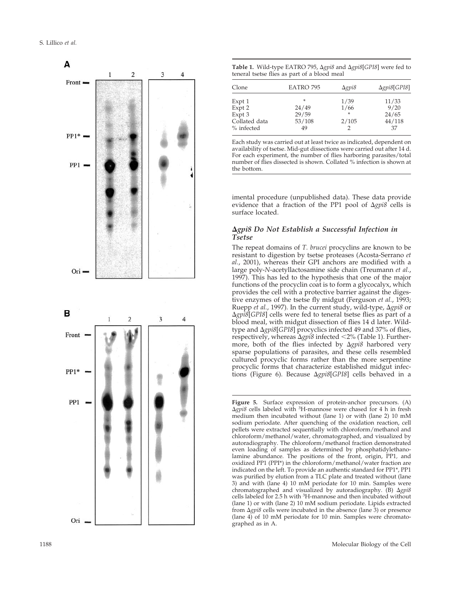

Table 1. Wild-type EATRO 795, Δgpi8 and Δgpi8[GPI8] were fed to teneral tsetse flies as part of a blood meal

| Clone         | EATRO <sub>795</sub> | $\Delta$ gpi $\delta$ | $\Delta$ gpi8[GPI8] |
|---------------|----------------------|-----------------------|---------------------|
| Expt 1        | *                    | 1/39                  | 11/33               |
| Expt 2        | 24/49                | 1/66                  | 9/20                |
| Expt 3        | 29/59                | $\ast$                | 24/65               |
| Collated data | 53/108               | 2/105                 | 44/118              |
| % infected    | 49                   |                       | 37                  |
|               |                      |                       |                     |

Each study was carried out at least twice as indicated, dependent on availability of tsetse. Mid-gut dissections were carried out after 14 d. For each experiment, the number of flies harboring parasites/total number of flies dissected is shown. Collated % infection is shown at the bottom.

imental procedure (unpublished data). These data provide evidence that a fraction of the PP1 pool of  $\Delta gpi8$  cells is surface located.

#### *gpi8 Do Not Establish a Successful Infection in Tsetse*

The repeat domains of *T. brucei* procyclins are known to be resistant to digestion by tsetse proteases (Acosta-Serrano *et al.*, 2001), whereas their GPI anchors are modi fied with a large poly-*N*-acetyllactosamine side chain (Treumann *et al.* , 1997). This has led to the hypothesis that one of the major functions of the procyclin coat is to form a glycocalyx, which provides the cell with a protective barrier against the digestive enzymes of the tsetse fly midgut (Ferguson *et al.*, 1993; Ruepp *et al.,* 1997). In the current study, wild-type,  $\Delta g$ pi8 or *gpi8* [*GPI8*] cells were fed to teneral tsetse flies as part of a blood meal, with midgut dissection of flies 14 d later. Wildtype and Δ*gpi8*[*GPI8*] procyclics infected 49 and 37% of flies, respectively, whereas Δgpi8 infected <2% (Table 1). Furthermore, both of the flies infected by  $\Delta gpi8$  harbored very sparse populations of parasites, and these cells resembled cultured procyclic forms rather than the more serpentine procyclic forms that characterize established midgut infections (Figure 6). Because Δ*gpi8*[*GPI8*] cells behaved in a

**Figure 5.** Surface expression of protein-anchor precursors. (A) Agpi8 cells labeled with <sup>3</sup>H-mannose were chased for 4 h in fresh medium then incubated without (lane 1) or with (lane 2) 10 mM sodium periodate. After quenching of the oxidation reaction, cell pellets were extracted sequentially with chloroform/methanol and chloroform/methanol/water, chromatographed, and visualized by autoradiography. The chloroform/methanol fraction demonstrated even loading of samples as determined by phosphatidylethanolamine abundance. The positions of the front, origin, PP1*,* and oxidized PP1 (PPI\*) in the chloroform/methanol/water fraction are indicated on the left. To provide an authentic standard for PP1\*, PP1 was puri fied by elution from a TLC plate and treated without (lane 3) and with (lane 4) 10 mM periodate for 10 min. Samples were chromatographed and visualized by autoradiography. (B)  $\Delta g$ pi8 cells labeled for 2.5 h with 3 H-mannose and then incubated without (lane 1) or with (lane 2) 10 mM sodium periodate. Lipids extracted from  $\Delta gpi8$  cells were incubated in the absence (lane 3) or presence (lane 4) of 10 mM periodate for 10 min. Samples were chromatographed as in A.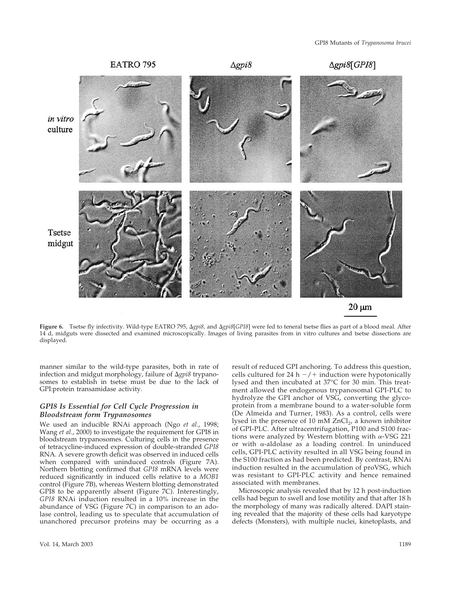

**Figure 6.** Tsetse fly infectivity. Wild-type EATRO 795, *gpi8,* and *gpi8*[*GPI8*] were fed to teneral tsetse flies as part of a blood meal. After 14 d, midguts were dissected and examined microscopically. Images of living parasites from in vitro cultures and tsetse dissections are displayed.

manner similar to the wild-type parasites, both in rate of infection and midgut morphology, failure of  $\Delta gpi8$  trypanosomes to establish in tsetse must be due to the lack of GPI:protein transamidase activity.

#### *GPI8 Is Essential for Cell Cycle Progression in Bloodstream form Trypanosomes*

We used an inducible RNAi approach (Ngo *et al.*, 1998; Wang *et al.*, 2000) to investigate the requirement for GPI8 in bloodstream trypanosomes. Culturing cells in the presence of tetracycline-induced expression of double-stranded *GPI8* RNA. A severe growth deficit was observed in induced cells when compared with uninduced controls (Figure 7A). Northern blotting confirmed that *GPI8* mRNA levels were reduced significantly in induced cells relative to a *MOB1* control (Figure 7B), whereas Western blotting demonstrated GPI8 to be apparently absent (Figure 7C). Interestingly, *GPI8* RNAi induction resulted in a 10% increase in the abundance of VSG (Figure 7C) in comparison to an adolase control, leading us to speculate that accumulation of unanchored precursor proteins may be occurring as a result of reduced GPI anchoring. To address this question, cells cultured for 24 h  $-$ / + induction were hypotonically lysed and then incubated at 37°C for 30 min. This treatment allowed the endogenous trypanosomal GPI-PLC to hydrolyze the GPI anchor of VSG, converting the glycoprotein from a membrane bound to a water-soluble form (De Almeida and Turner, 1983). As a control, cells were lysed in the presence of 10 mM  $ZnCl<sub>2</sub>$ , a known inhibitor of GPI-PLC. After ultracentrifugation, P100 and S100 fractions were analyzed by Western blotting with  $\alpha$ -VSG 221 or with  $\alpha$ -aldolase as a loading control. In uninduced cells, GPI-PLC activity resulted in all VSG being found in the S100 fraction as had been predicted. By contrast, RNAi induction resulted in the accumulation of proVSG, which was resistant to GPI-PLC activity and hence remained associated with membranes.

Microscopic analysis revealed that by 12 h post-induction cells had begun to swell and lose motility and that after 18 h the morphology of many was radically altered. DAPI staining revealed that the majority of these cells had karyotype defects (Monsters), with multiple nuclei, kinetoplasts, and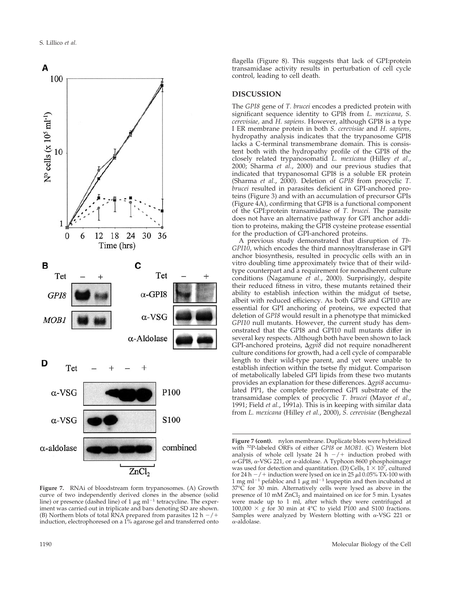

**Figure 7.** RNAi of bloodstream form trypanosomes. (A) Growth curve of two independently derived clones in the absence (solid line) or presence (dashed line) of 1  $\mu$ g ml<sup>-1</sup> tetracycline. The experiment was carried out in triplicate and bars denoting SD are shown. (B) Northern blots of total RNA prepared from parasites 12 h  $-/+$ induction, electrophoresed on a 1% agarose gel and transferred onto

flagella (Figure 8). This suggests that lack of GPI:protein transamidase activity results in perturbation of cell cycle control, leading to cell death.

#### **DISCUSSION**

The *GPI8* gene of *T. brucei* encodes a predicted protein with significant sequence identity to GPI8 from *L. mexicana*, *S. cerevisiae,* and *H. sapiens*. However, although GPI8 is a type I ER membrane protein in both *S. cerevisiae* and *H. sapiens,* hydropathy analysis indicates that the trypanosome GPI8 lacks a C-terminal transmembrane domain. This is consistent both with the hydropathy profile of the GPI8 of the closely related trypanosomatid *L. mexicana* (Hilley *et al.*, 2000; Sharma *et al.*, 2000) and our previous studies that indicated that trypanosomal GPI8 is a soluble ER protein (Sharma *et al.*, 2000). Deletion of *GPI8* from procyclic *T. brucei* resulted in parasites deficient in GPI-anchored proteins (Figure 3) and with an accumulation of precursor GPIs (Figure 4A), confirming that GPI8 is a functional component of the GPI:protein transamidase of *T. brucei.* The parasite does not have an alternative pathway for GPI anchor addition to proteins, making the GPI8 cysteine protease essential for the production of GPI-anchored proteins.

A previous study demonstrated that disruption of *Tb-GPI10*, which encodes the third mannosyltransferase in GPI anchor biosynthesis, resulted in procyclic cells with an in vitro doubling time approximately twice that of their wildtype counterpart and a requirement for nonadherent culture conditions (Nagamune *et al.*, 2000). Surprisingly, despite their reduced fitness in vitro, these mutants retained their ability to establish infection within the midgut of tsetse, albeit with reduced efficiency. As both GPI8 and GPI10 are essential for GPI anchoring of proteins, we expected that deletion of *GPI8* would result in a phenotype that mimicked *GPI10* null mutants. However, the current study has demonstrated that the GPI8 and GPI10 null mutants differ in several key respects. Although both have been shown to lack GPI-anchored proteins,  $\Delta gpi8$  did not require nonadherent culture conditions for growth, had a cell cycle of comparable length to their wild-type parent, and yet were unable to establish infection within the tsetse fly midgut. Comparison of metabolically labeled GPI lipids from these two mutants provides an explanation for these differences.  $\Delta gpi8$  accumulated PP1, the complete preformed GPI substrate of the transamidase complex of procyclic *T. brucei* (Mayor *et al.*, 1991; Field *et al.*, 1991a). This is in keeping with similar data from *L. mexicana* (Hilley *et al.*, 2000), *S. cerevisiae* (Benghezal

**Figure 7 (cont).** nylon membrane. Duplicate blots were hybridized with 32P-labeled ORFs of either *GPI8* or *MOB1*. (C) Western blot analysis of whole cell lysate 24 h  $-/+$  induction probed with  $\alpha$ -GPI8,  $\alpha$ -VSG 221, or  $\alpha$ -aldolase. A Typhoon 8600 phosphoimager was used for detection and quantitation. (D) Cells,  $1 \times 10^7$ , cultured for 24 h  $-$  /  $+$  induction were lysed on ice in 25  $\mu$ l 0.05% TX-100 with 1 mg ml<sup>-1</sup> pefabloc and 1  $\mu$ g ml<sup>-1</sup> leupeptin and then incubated at 37°C for 30 min. Alternatively cells were lysed as above in the presence of 10 mM ZnCl<sub>2</sub> and maintained on ice for 5 min. Lysates were made up to 1 ml, after which they were centrifuged at 100,000  $\times$  *g* for 30 min at 4°C to yield P100 and S100 fractions. Samples were analyzed by Western blotting with  $\alpha$ -VSG 221 or  $\alpha$ -aldolase.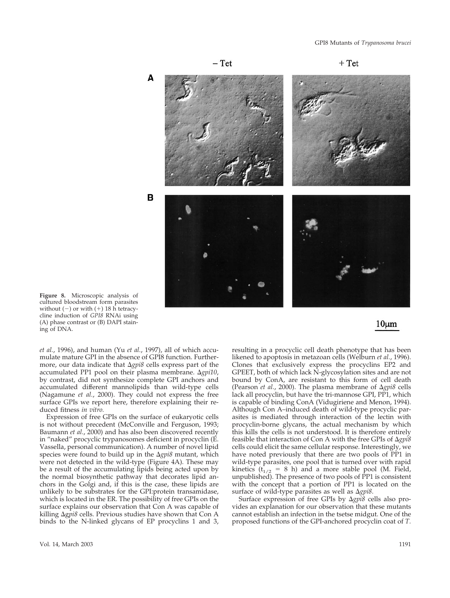



 $-$  Tet

**Figure 8.** Microscopic analysis of cultured bloodstream form parasites without  $(-)$  or with  $(+)$  18 h tetracycline induction of *GPI8* RNAi using (A) phase contrast or (B) DAPI staining of DNA.

*et al.*, 1996), and human (Yu *et al.*, 1997), all of which accumulate mature GPI in the absence of GPI8 function. Furthermore, our data indicate that  $\Delta gpi8$  cells express part of the accumulated PP1 pool on their plasma membrane.  $\Delta gpi10$ , by contrast, did not synthesize complete GPI anchors and accumulated different mannolipids than wild-type cells (Nagamune *et al.*, 2000). They could not express the free surface GPIs we report here, therefore explaining their reduced fitness *in vitro.*

Expression of free GPIs on the surface of eukaryotic cells is not without precedent (McConville and Ferguson, 1993; Baumann *et al.*, 2000) and has also been discovered recently in "naked" procyclic trypanosomes deficient in procyclin (E. Vassella, personal communication). A number of novel lipid species were found to build up in the  $\Delta gpi8$  mutant, which were not detected in the wild-type (Figure 4A). These may be a result of the accumulating lipids being acted upon by the normal biosynthetic pathway that decorates lipid anchors in the Golgi and, if this is the case, these lipids are unlikely to be substrates for the GPI:protein transamidase, which is located in the ER. The possibility of free GPIs on the surface explains our observation that Con A was capable of killing  $\Delta$ gpi8 cells. Previous studies have shown that Con A binds to the N-linked glycans of EP procyclins 1 and 3,

resulting in a procyclic cell death phenotype that has been likened to apoptosis in metazoan cells (Welburn *et al.*, 1996). Clones that exclusively express the procyclins EP2 and GPEET, both of which lack N-glycosylation sites and are not bound by ConA, are resistant to this form of cell death (Pearson *et al.*, 2000). The plasma membrane of  $\Delta g$ *pi8* cells lack all procyclin, but have the tri-mannose GPI, PP1, which is capable of binding ConA (Vidugiriene and Menon, 1994). Although Con A–induced death of wild-type procyclic parasites is mediated through interaction of the lectin with procyclin-borne glycans, the actual mechanism by which this kills the cells is not understood. It is therefore entirely feasible that interaction of Con A with the free GPIs of  $\Delta gpi8$ cells could elicit the same cellular response. Interestingly, we have noted previously that there are two pools of PP1 in wild-type parasites, one pool that is turned over with rapid kinetics  $(t_{1/2} = 8 h)$  and a more stable pool (M. Field, unpublished). The presence of two pools of PP1 is consistent with the concept that a portion of PP1 is located on the surface of wild-type parasites as well as  $\Delta g$ *pi8*.

Surface expression of free GPIs by  $\Delta gpi8$  cells also provides an explanation for our observation that these mutants cannot establish an infection in the tsetse midgut. One of the proposed functions of the GPI-anchored procyclin coat of *T.*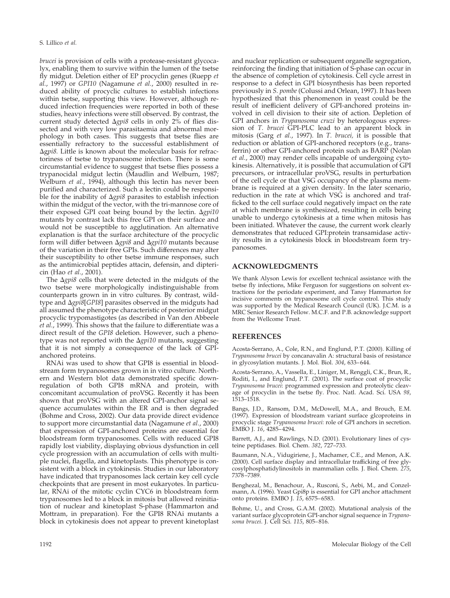*brucei* is provision of cells with a protease-resistant glycocalyx, enabling them to survive within the lumen of the tsetse fly midgut. Deletion either of EP procyclin genes (Ruepp *et al.*, 1997) or *GPI10* (Nagamune *et al.*, 2000) resulted in reduced ability of procyclic cultures to establish infections within tsetse, supporting this view. However, although reduced infection frequencies were reported in both of these studies, heavy infections were still observed. By contrast, the current study detected  $\Delta gpi8$  cells in only 2% of flies dissected and with very low parasitaemia and abnormal morphology in both cases. This suggests that tsetse flies are essentially refractory to the successful establishment of Δgpi8. Little is known about the molecular basis for refractoriness of tsetse to trypanosome infection. There is some circumstantial evidence to suggest that tsetse flies possess a trypanocidal midgut lectin (Maudlin and Welburn, 1987; Welburn *et al.*, 1994), although this lectin has never been purified and characterized. Such a lectin could be responsible for the inability of  $\Delta gpi8$  parasites to establish infection within the midgut of the vector, with the tri-mannose core of their exposed GPI coat being bound by the lectin.  $\Delta gpi10$ mutants by contrast lack this free GPI on their surface and would not be susceptible to agglutination. An alternative explanation is that the surface architecture of the procyclic form will differ between  $\Delta gpi8$  and  $\Delta gpi10$  mutants because of the variation in their free GPIs. Such differences may alter their susceptibility to other tsetse immune responses, such as the antimicrobial peptides attacin, defensin, and diptericin (Hao *et al.*, 2001).

The  $\Delta gpi8$  cells that were detected in the midguts of the two tsetse were morphologically indistinguishable from counterparts grown in in vitro cultures. By contrast, wildtype and Δgpi8<sup>[</sup>*GPI8*] parasites observed in the midguts had all assumed the phenotype characteristic of posterior midgut procyclic trypomastigotes (as described in Van den Abbeele *et al.*, 1999). This shows that the failure to differentiate was a direct result of the *GPI8* deletion. However, such a phenotype was not reported with the Δgpi10 mutants, suggesting that it is not simply a consequence of the lack of GPIanchored proteins.

RNAi was used to show that GPI8 is essential in bloodstream form trypanosomes grown in in vitro culture. Northern and Western blot data demonstrated specific downregulation of both GPI8 mRNA and protein, with concomitant accumulation of proVSG. Recently it has been shown that proVSG with an altered GPI-anchor signal sequence accumulates within the ER and is then degraded (Bohme and Cross, 2002). Our data provide direct evidence to support more circumstantial data (Nagamune *et al.*, 2000) that expression of GPI-anchored proteins are essential for bloodstream form trypanosomes. Cells with reduced GPI8 rapidly lost viability, displaying obvious dysfunction in cell cycle progression with an accumulation of cells with multiple nuclei, flagella, and kinetoplasts. This phenotype is consistent with a block in cytokinesis. Studies in our laboratory have indicated that trypanosomes lack certain key cell cycle checkpoints that are present in most eukaryotes. In particular, RNAi of the mitotic cyclin CYC6 in bloodstream form trypanosomes led to a block in mitosis but allowed reinitiation of nuclear and kinetoplast S-phase (Hammarton and Mottram, in preparation). For the GPI8 RNAi mutants a block in cytokinesis does not appear to prevent kinetoplast

and nuclear replication or subsequent organelle segregation, reinforcing the finding that initiation of S-phase can occur in the absence of completion of cytokinesis. Cell cycle arrest in response to a defect in GPI biosynthesis has been reported previously in *S. pombe* (Colussi and Orlean, 1997). It has been hypothesized that this phenomenon in yeast could be the result of inefficient delivery of GPI-anchored proteins involved in cell division to their site of action. Depletion of GPI anchors in *Trypanosoma cruzi* by heterologous expression of *T. brucei* GPI-PLC lead to an apparent block in mitosis (Garg *et al.*, 1997). In *T. brucei,* it is possible that reduction or ablation of GPI-anchored receptors (e.g., transferrin) or other GPI-anchored protein such as BARP (Nolan *et al.*, 2000) may render cells incapable of undergoing cytokinesis. Alternatively, it is possible that accumulation of GPI precursors, or intracellular proVSG, results in perturbation of the cell cycle or that VSG occupancy of the plasma membrane is required at a given density. In the later scenario, reduction in the rate at which VSG is anchored and trafficked to the cell surface could negatively impact on the rate at which membrane is synthesized, resulting in cells being unable to undergo cytokinesis at a time when mitosis has been initiated. Whatever the cause, the current work clearly demonstrates that reduced GPI:protein transamidase activity results in a cytokinesis block in bloodstream form trypanosomes.

### **ACKNOWLEDGMENTS**

We thank Alyson Lewis for excellent technical assistance with the tsetse fly infections, Mike Ferguson for suggestions on solvent extractions for the periodate experiment, and Tansy Hammarton for incisive comments on trypanosome cell cycle control. This study was supported by the Medical Research Council (UK). J.C.M. is a MRC Senior Research Fellow. M.C.F. and P.B. acknowledge support from the Wellcome Trust.

# **REFERENCES**

Acosta-Serrano, A., Cole, R.N., and Englund, P.T. (2000). Killing of *Trypanosoma brucei* by concanavalin A: structural basis of resistance in glycosylation mutants. J. Mol. Biol. *304*, 633–644.

Acosta-Serrano, A., Vassella, E., Liniger, M., Renggli, C.K., Brun, R., Roditi, I., and Englund, P.T. (2001). The surface coat of procyclic *Trypanosoma brucei*: programmed expression and proteolytic cleavage of procyclin in the tsetse fly. Proc. Natl. Acad. Sci. USA *98*, 1513–1518.

Bangs, J.D., Ransom, D.M., McDowell, M.A., and Brouch, E.M. (1997). Expression of bloodstream variant surface glcoproteins in procyclic stage *Trypanosoma brucei*: role of GPI anchors in secretion. EMBO J. *16*, 4285–4294.

Barrett, A.J., and Rawlings, N.D. (2001). Evolutionary lines of cysteine peptidases. Biol. Chem. *382*, 727–733.

Baumann, N.A., Vidugiriene, J., Machamer, C.E., and Menon, A.K. (2000). Cell surface display and intracellular trafficking of free glycosylphosphatidylinositols in mammalian cells. J. Biol. Chem. *275*, 7378–7389.

Benghezal, M., Benachour, A., Rusconi, S., Aebi, M., and Conzelmann, A. (1996). Yeast Gpi8p is essential for GPI anchor attachment onto proteins. EMBO J. *15*, 6575–6583.

Bohme, U., and Cross, G.A.M. (2002). Mutational analysis of the variant surface glycoprotein GPI-anchor signal sequence in *Trypanosoma brucei*. J. Cell Sci. *115*, 805–816.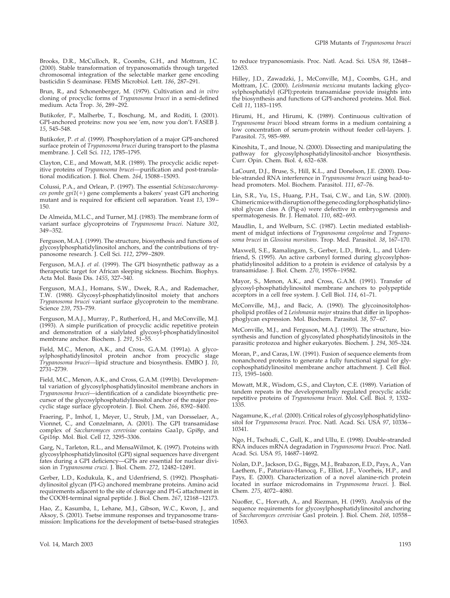Brooks, D.R., McCulloch, R., Coombs, G.H., and Mottram, J.C. (2000). Stable transformation of trypanosomatids through targeted chromosomal integration of the selectable marker gene encoding basticidin S deaminase. FEMS Microbiol. Lett. *186*, 287–291.

Brun, R., and Schonenberger, M. (1979). Cultivation and *in vitro* cloning of procyclic forms of *Trypanosoma brucei* in a semi-defined medium. Acta Trop. *36*, 289–292.

Butikofer, P., Malherbe, T., Boschung, M., and Roditi, I. (2001). GPI-anchored proteins: now you see 'em, now you don't. FASEB J. *15*, 545–548.

Butikofer, P. *et al.* (1999). Phosphorylation of a major GPI-anchored surface protein of *Trypanosoma brucei* during transport to the plasma membrane. J. Cell Sci. *112*, 1785–1795.

Clayton, C.E., and Mowatt, M.R. (1989). The procyclic acidic repetitive proteins of *Trypanosoma brucei*—purification and post-translational modification. J. Biol. Chem. *264*, 15088–15093.

Colussi, P.A., and Orlean, P. (1997). The essential *Schizosaccharomyces pombe gpi1*(+) gene complements a bakers' yeast GPI anchoring mutant and is required for efficient cell separation. Yeast *13*, 139– 150.

De Almeida, M.L.C., and Turner, M.J. (1983). The membrane form of variant surface glycoproteins of *Trypanosoma brucei*. Nature *302*, 349–352.

Ferguson, M.A.J. (1999). The structure, biosynthesis and functions of glycosylphosphatidylinositol anchors, and the contributions of trypanosome research. J. Cell Sci. *112*, 2799–2809.

Ferguson, M.A.J. *et al.* (1999). The GPI biosynthetic pathway as a therapeutic target for African sleeping sickness. Biochim. Biophys. Acta Mol. Basis Dis. *1455*, 327–340.

Ferguson, M.A.J., Homans, S.W., Dwek, R.A., and Rademacher, T.W. (1988). Glycosyl-phosphatidylinositol moiety that anchors *Trypanosoma brucei* variant surface glycoprotein to the membrane. Science *239*, 753–759.

Ferguson, M.A.J., Murray, P., Rutherford, H., and McConville, M.J. (1993). A simple purification of procyclic acidic repetitive protein and demonstration of a sialylated glycosyl-phosphatidylinositol membrane anchor. Biochem. J. *291*, 51–55.

Field, M.C., Menon, A.K., and Cross, G.A.M. (1991a). A glycosylphosphatidylinositol protein anchor from procyclic stage *Trypanosoma brucei—*lipid structure and biosynthesis. EMBO J. *10*, 2731–2739.

Field, M.C., Menon, A.K., and Cross, G.A.M. (1991b). Developmental variation of glycosylphosphatidylinositol membrane anchors in *Trypanosoma brucei—*identification of a candidate biosynthetic precursor of the glycosylphosphatidylinositol anchor of the major procyclic stage surface glycoprotein. J. Biol. Chem. *266*, 8392–8400.

Fraering, P., Imhof, I., Meyer, U., Strub, J.M., van Dorsselaer, A., Vionnet, C., and Conzelmann, A. (2001). The GPI transamidase complex of *Saccharomyces cerevisiae* contains Gaa1p, Gpi8p, and Gpi16p. Mol. Biol. Cell *12*, 3295–3306.

Garg, N., Tarleton, R.L., and MensaWilmot, K. (1997). Proteins with glycosylphosphatidylinositol (GPI) signal sequences have divergent fates during a GPI deficiency—GPIs are essential for nuclear division in *Trypanosoma cruzi*. J. Biol. Chem. *272*, 12482–12491.

Gerber, L.D., Kodukula, K., and Udenfriend, S. (1992). Phosphatidylinositol glycan (PI-G) anchored membrane proteins. Amino acid requirements adjacent to the site of cleavage and PI-G attachment in the COOH-terminal signal peptide. J. Biol. Chem. *267*, 12168–12173.

Hao, Z., Kasumba, I., Lehane, M.J., Gibson, W.C., Kwon, J., and Aksoy, S. (2001). Tsetse immune responses and trypanosome transmission: Implications for the development of tsetse-based strategies

to reduce trypanosomiasis. Proc. Natl. Acad. Sci. USA *98*, 12648– 12653.

Hilley, J.D., Zawadzki, J., McConville, M.J., Coombs, G.H., and Mottram, J.C. (2000). *Leishmania mexicana* mutants lacking glycosylphosphatidyl (GPI):protein transamidase provide insights into the biosynthesis and functions of GPI-anchored proteins. Mol. Biol. Cell *11*, 1183–1195.

Hirumi, H., and Hirumi, K. (1989). Continuous cultivation of *Trypanosoma brucei* blood stream forms in a medium containing a low concentration of serum-protein without feeder cell-layers. J. Parasitol. *75*, 985–989.

Kinoshita, T., and Inoue, N. (2000). Dissecting and manipulating the pathway for glycosylphosphatidylinositol-anchor biosynthesis. Curr. Opin. Chem. Biol. *4*, 632–638.

LaCount, D.J., Bruse, S., Hill, K.L., and Donelson, J.E. (2000). Double-stranded RNA interference in *Trypanosoma brucei* using head-tohead promoters. Mol. Biochem. Parasitol. *111*, 67–76.

Lin, S.R., Yu, I.S., Huang, P.H., Tsai, C.W., and Lin, S.W. (2000). Chimericmicewithdisruptionofthegenecodingforphosphatidylinositol glycan class A (Pig-a) were defective in embryogenesis and spermatogenesis. Br. J. Hematol. *110*, 682–693.

Maudlin, I., and Welburn, S.C. (1987). Lectin mediated establishment of midgut infections of *Trypanosoma congolense* and *Trypanosoma brucei* in *Glossina morsitans*. Trop. Med. Parasitol. *38*, 167–170.

Maxwell, S.E., Ramalingam, S., Gerber, L.D., Brink, L., and Udenfriend, S. (1995). An active carbonyl formed during glycosylphosphatidylinositol addition to a protein is evidence of catalysis by a transamidase. J. Biol. Chem. *270*, 19576–19582.

Mayor, S., Menon, A.K., and Cross, G.A.M. (1991). Transfer of glycosyl-phosphatidylinositol membrane anchors to polypeptide acceptors in a cell free system. J. Cell Biol. *114*, 61–71.

McConville, M.J., and Bacic, A. (1990). The glycoinositolphospholipid profiles of 2 *Leishmania major* strains that differ in lipophosphoglycan expression. Mol. Biochem. Parasitol. *38*, 57–67.

McConville, M.J., and Ferguson, M.A.J. (1993). The structure, biosynthesis and function of glycosylated phosphatidylinositols in the parasitic protozoa and higher eukaryotes. Biochem. J. *294*, 305–324.

Moran, P., and Caras, I.W. (1991). Fusion of sequence elements from nonanchored proteins to generate a fully functional signal for glycophosphatidylinositol membrane anchor attachment. J. Cell Biol. *115*, 1595–1600.

Mowatt, M.R., Wisdom, G.S., and Clayton, C.E. (1989). Variation of tandem repeats in the developmentally regulated procyclic acidic repetitive proteins of *Trypanosoma brucei*. Mol. Cell. Biol. *9*, 1332– 1335.

Nagamune, K.,*et al.* (2000). Critical roles of glycosylphosphatidylinositol for *Trypanosoma brucei*. Proc. Natl. Acad. Sci. USA *97*, 10336– 10341.

Ngo, H., Tschudi, C., Gull, K., and Ullu, E. (1998). Double-stranded RNA induces mRNA degradation in *Trypanosoma brucei*. Proc. Natl. Acad. Sci. USA *95*, 14687–14692.

Nolan, D.P., Jackson, D.G., Biggs, M.J., Brabazon, E.D., Pays, A., Van Laethem, F., Paturiaux-Hanocq, F., Elliot, J.F., Voorheis, H.P., and Pays, E. (2000). Characterization of a novel alanine-rich protein located in surface microdomains in *Trypanosoma brucei*. J. Biol. Chem. *275*, 4072–4080.

Nuoffer, C., Horvath, A., and Riezman, H. (1993). Analysis of the sequence requirements for glycosylphosphatidylinositol anchoring of *Saccharomyces cerevisiae* Gas1 protein. J. Biol. Chem. *268*, 10558– 10563.